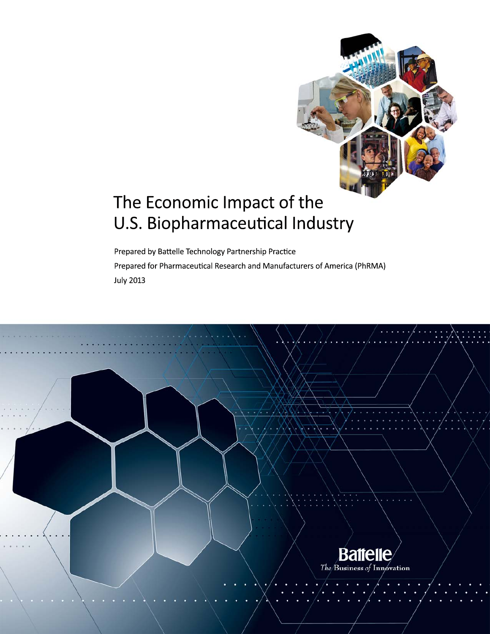

# The Economic Impact of the U.S. Biopharmaceutical Industry

Prepared by Battelle Technology Partnership Practice Prepared for Pharmaceutical Research and Manufacturers of America (PhRMA) **July 2013** 

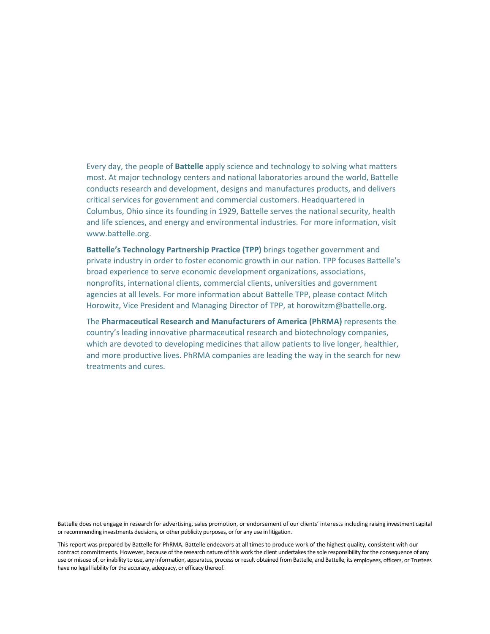Every day, the people of **Battelle** apply science and technology to solving what matters most. At major technology centers and national laboratories around the world, Battelle conducts research and development, designs and manufactures products, and delivers critical services for government and commercial customers. Headquartered in Columbus, Ohio since its founding in 1929, Battelle serves the national security, health and life sciences, and energy and environmental industries. For more information, visit www.battelle.org.

**Battelle's Technology Partnership Practice (TPP)** brings together government and private industry in order to foster economic growth in our nation. TPP focuses Battelle's broad experience to serve economic development organizations, associations, nonprofits, international clients, commercial clients, universities and government agencies at all levels. For more information about Battelle TPP, please contact Mitch Horowitz, Vice President and Managing Director of TPP, at horowitzm@battelle.org.

The **Pharmaceutical Research and Manufacturers of America (PhRMA)** represents the country's leading innovative pharmaceutical research and biotechnology companies, which are devoted to developing medicines that allow patients to live longer, healthier, and more productive lives. PhRMA companies are leading the way in the search for new treatments and cures.

Battelle does not engage in research for advertising, sales promotion, or endorsement of our clients' interests including raising investment capital or recommending investments decisions, or other publicity purposes, or for any use in litigation.

This report was prepared by Battelle for PhRMA. Battelle endeavors at all times to produce work of the highest quality, consistent with our contract commitments. However, because of the research nature of this work the client undertakes the sole responsibility for the consequence of any use or misuse of, or inability to use, any information, apparatus, process or result obtained from Battelle, and Battelle, its employees, officers, or Trustees have no legal liability for the accuracy, adequacy, or efficacy thereof.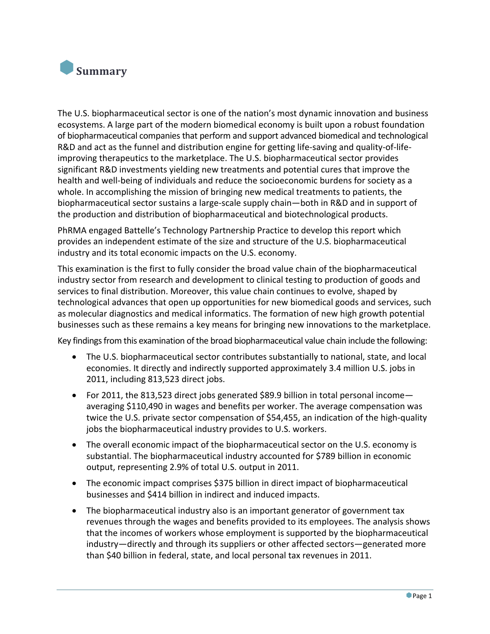

The U.S. biopharmaceutical sector is one of the nation's most dynamic innovation and business ecosystems. A large part of the modern biomedical economy is built upon a robust foundation of biopharmaceutical companiesthat perform and support advanced biomedical and technological R&D and act as the funnel and distribution engine for getting life‐saving and quality‐of‐life‐ improving therapeutics to the marketplace. The U.S. biopharmaceutical sector provides significant R&D investments yielding new treatments and potential cures that improve the health and well-being of individuals and reduce the socioeconomic burdens for society as a whole. In accomplishing the mission of bringing new medical treatments to patients, the biopharmaceutical sector sustains a large‐scale supply chain—both in R&D and in support of the production and distribution of biopharmaceutical and biotechnological products.

PhRMA engaged Battelle's Technology Partnership Practice to develop this report which provides an independent estimate of the size and structure of the U.S. biopharmaceutical industry and its total economic impacts on the U.S. economy.

This examination is the first to fully consider the broad value chain of the biopharmaceutical industry sector from research and development to clinical testing to production of goods and services to final distribution. Moreover, this value chain continues to evolve, shaped by technological advances that open up opportunities for new biomedical goods and services, such as molecular diagnostics and medical informatics. The formation of new high growth potential businesses such as these remains a key means for bringing new innovations to the marketplace.

Key findings from this examination of the broad biopharmaceutical value chain include the following:

- The U.S. biopharmaceutical sector contributes substantially to national, state, and local economies. It directly and indirectly supported approximately 3.4 million U.S. jobs in 2011, including 813,523 direct jobs.
- For 2011, the 813,523 direct jobs generated \$89.9 billion in total personal income averaging \$110,490 in wages and benefits per worker. The average compensation was twice the U.S. private sector compensation of \$54,455, an indication of the high‐quality jobs the biopharmaceutical industry provides to U.S. workers.
- The overall economic impact of the biopharmaceutical sector on the U.S. economy is substantial. The biopharmaceutical industry accounted for \$789 billion in economic output, representing 2.9% of total U.S. output in 2011.
- The economic impact comprises \$375 billion in direct impact of biopharmaceutical businesses and \$414 billion in indirect and induced impacts.
- The biopharmaceutical industry also is an important generator of government tax revenues through the wages and benefits provided to its employees. The analysis shows that the incomes of workers whose employment is supported by the biopharmaceutical industry—directly and through its suppliers or other affected sectors—generated more than \$40 billion in federal, state, and local personal tax revenues in 2011.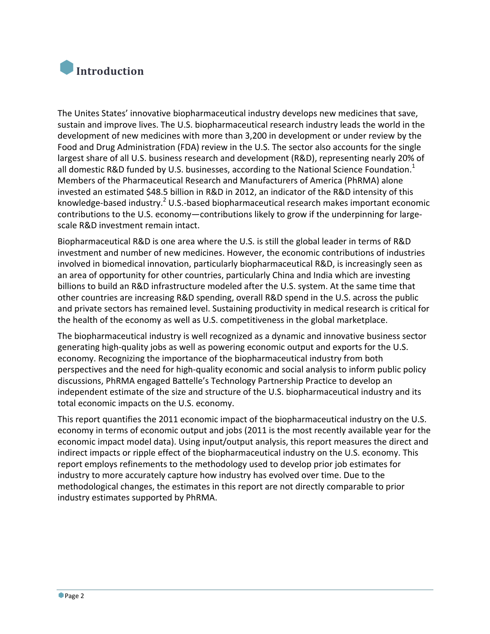

The Unites States' innovative biopharmaceutical industry develops new medicines that save, sustain and improve lives. The U.S. biopharmaceutical research industry leads the world in the development of new medicines with more than 3,200 in development or under review by the Food and Drug Administration (FDA) review in the U.S. The sector also accounts for the single largest share of all U.S. business research and development (R&D), representing nearly 20% of all domestic R&D funded by U.S. businesses, according to the National Science Foundation.<sup>1</sup> Members of the Pharmaceutical Research and Manufacturers of America (PhRMA) alone invested an estimated \$48.5 billion in R&D in 2012, an indicator of the R&D intensity of this knowledge-based industry.<sup>2</sup> U.S.-based biopharmaceutical research makes important economic contributions to the U.S. economy-contributions likely to grow if the underpinning for largescale R&D investment remain intact.

Biopharmaceutical R&D is one area where the U.S. is still the global leader in terms of R&D investment and number of new medicines. However, the economic contributions of industries involved in biomedical innovation, particularly biopharmaceutical R&D, is increasingly seen as an area of opportunity for other countries, particularly China and India which are investing billions to build an R&D infrastructure modeled after the U.S. system. At the same time that other countries are increasing R&D spending, overall R&D spend in the U.S. across the public and private sectors has remained level. Sustaining productivity in medical research is critical for the health of the economy as well as U.S. competitiveness in the global marketplace.

The biopharmaceutical industry is well recognized as a dynamic and innovative business sector generating high‐quality jobs as well as powering economic output and exports for the U.S. economy. Recognizing the importance of the biopharmaceutical industry from both perspectives and the need for high‐quality economic and social analysis to inform public policy discussions, PhRMA engaged Battelle's Technology Partnership Practice to develop an independent estimate of the size and structure of the U.S. biopharmaceutical industry and its total economic impacts on the U.S. economy.

This report quantifies the 2011 economic impact of the biopharmaceutical industry on the U.S. economy in terms of economic output and jobs (2011 is the most recently available year for the economic impact model data). Using input/output analysis, this report measures the direct and indirect impacts or ripple effect of the biopharmaceutical industry on the U.S. economy. This report employs refinements to the methodology used to develop prior job estimates for industry to more accurately capture how industry has evolved over time. Due to the methodological changes, the estimates in this report are not directly comparable to prior industry estimates supported by PhRMA.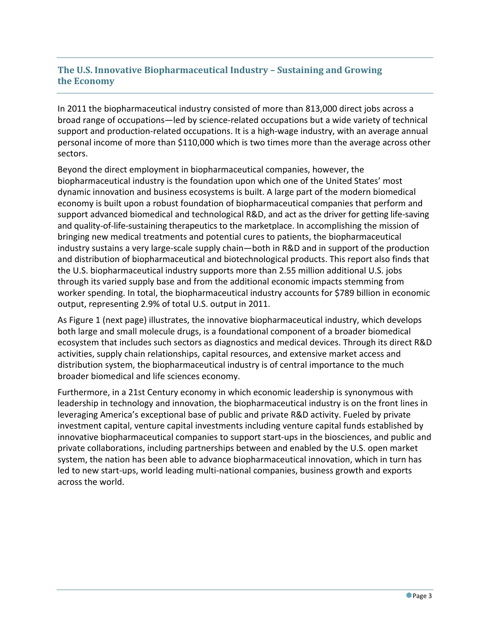# **The U.S. Innovative Biopharmaceutical Industry – Sustaining and Growing the Economy**

In 2011 the biopharmaceutical industry consisted of more than 813,000 direct jobs across a broad range of occupations—led by science‐related occupations but a wide variety of technical support and production-related occupations. It is a high-wage industry, with an average annual personal income of more than \$110,000 which is two times more than the average across other sectors.

Beyond the direct employment in biopharmaceutical companies, however, the biopharmaceutical industry is the foundation upon which one of the United States' most dynamic innovation and business ecosystems is built. A large part of the modern biomedical economy is built upon a robust foundation of biopharmaceutical companies that perform and support advanced biomedical and technological R&D, and act as the driver for getting life‐saving and quality-of-life-sustaining therapeutics to the marketplace. In accomplishing the mission of bringing new medical treatments and potential cures to patients, the biopharmaceutical industry sustains a very large‐scale supply chain—both in R&D and in support of the production and distribution of biopharmaceutical and biotechnological products. This report also finds that the U.S. biopharmaceutical industry supports more than 2.55 million additional U.S. jobs through its varied supply base and from the additional economic impacts stemming from worker spending. In total, the biopharmaceutical industry accounts for \$789 billion in economic output, representing 2.9% of total U.S. output in 2011.

As Figure 1 (next page) illustrates, the innovative biopharmaceutical industry, which develops both large and small molecule drugs, is a foundational component of a broader biomedical ecosystem that includes such sectors as diagnostics and medical devices. Through its direct R&D activities, supply chain relationships, capital resources, and extensive market access and distribution system, the biopharmaceutical industry is of central importance to the much broader biomedical and life sciences economy.

Furthermore, in a 21st Century economy in which economic leadership is synonymous with leadership in technology and innovation, the biopharmaceutical industry is on the front lines in leveraging America's exceptional base of public and private R&D activity. Fueled by private investment capital, venture capital investments including venture capital funds established by innovative biopharmaceutical companies to support start‐ups in the biosciences, and public and private collaborations, including partnerships between and enabled by the U.S. open market system, the nation has been able to advance biopharmaceutical innovation, which in turn has led to new start-ups, world leading multi-national companies, business growth and exports across the world.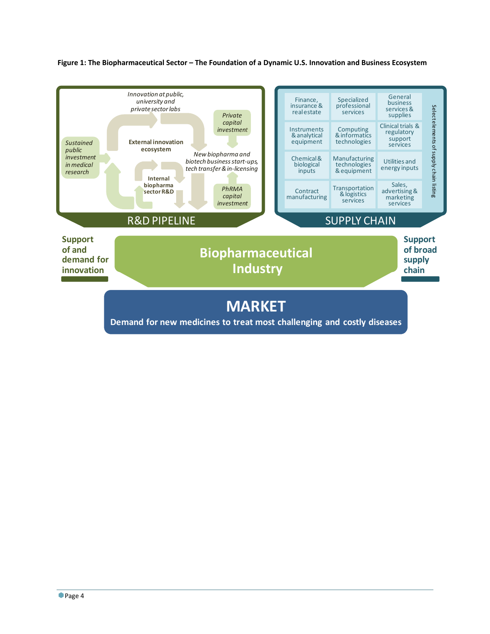

Figure 1: The Biopharmaceutical Sector - The Foundation of a Dynamic U.S. Innovation and Business Ecosystem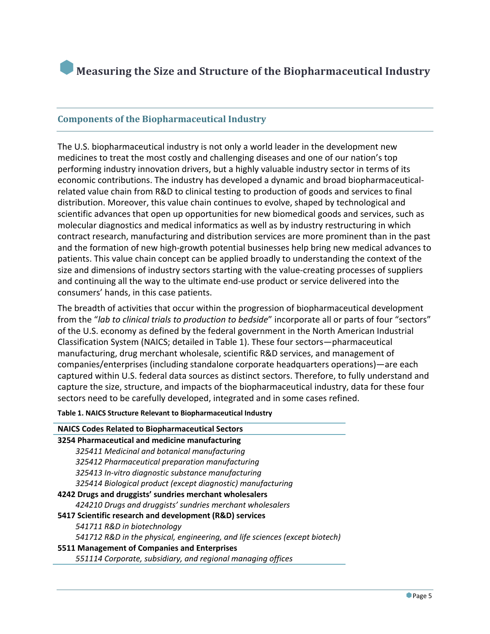

#### **Components of the Biopharmaceutical Industry**

The U.S. biopharmaceutical industry is not only a world leader in the development new medicines to treat the most costly and challenging diseases and one of our nation's top performing industry innovation drivers, but a highly valuable industry sector in terms of its economic contributions. The industry has developed a dynamic and broad biopharmaceutical‐ related value chain from R&D to clinical testing to production of goods and services to final distribution. Moreover, this value chain continues to evolve, shaped by technological and scientific advances that open up opportunities for new biomedical goods and services, such as molecular diagnostics and medical informatics as well as by industry restructuring in which contract research, manufacturing and distribution services are more prominent than in the past and the formation of new high‐growth potential businesses help bring new medical advances to patients. This value chain concept can be applied broadly to understanding the context of the size and dimensions of industry sectors starting with the value-creating processes of suppliers and continuing all the way to the ultimate end‐use product or service delivered into the consumers' hands, in this case patients.

The breadth of activities that occur within the progression of biopharmaceutical development from the "*lab to clinical trials to production to bedside*" incorporate all or parts of four "sectors" of the U.S. economy as defined by the federal government in the North American Industrial Classification System (NAICS; detailed in Table 1). These four sectors—pharmaceutical manufacturing, drug merchant wholesale, scientific R&D services, and management of companies/enterprises (including standalone corporate headquarters operations)—are each captured within U.S. federal data sources as distinct sectors. Therefore, to fully understand and capture the size, structure, and impacts of the biopharmaceutical industry, data for these four sectors need to be carefully developed, integrated and in some cases refined.

**Table 1. NAICS Structure Relevant to Biopharmaceutical Industry**

| <b>NAICS Codes Related to Biopharmaceutical Sectors</b>                     |
|-----------------------------------------------------------------------------|
| 3254 Pharmaceutical and medicine manufacturing                              |
| 325411 Medicinal and botanical manufacturing                                |
| 325412 Pharmaceutical preparation manufacturing                             |
| 325413 In-vitro diagnostic substance manufacturing                          |
| 325414 Biological product (except diagnostic) manufacturing                 |
| 4242 Drugs and druggists' sundries merchant wholesalers                     |
| 424210 Drugs and druggists' sundries merchant wholesalers                   |
| 5417 Scientific research and development (R&D) services                     |
| 541711 R&D in biotechnology                                                 |
| 541712 R&D in the physical, engineering, and life sciences (except biotech) |
| 5511 Management of Companies and Enterprises                                |
| 551114 Corporate, subsidiary, and regional managing offices                 |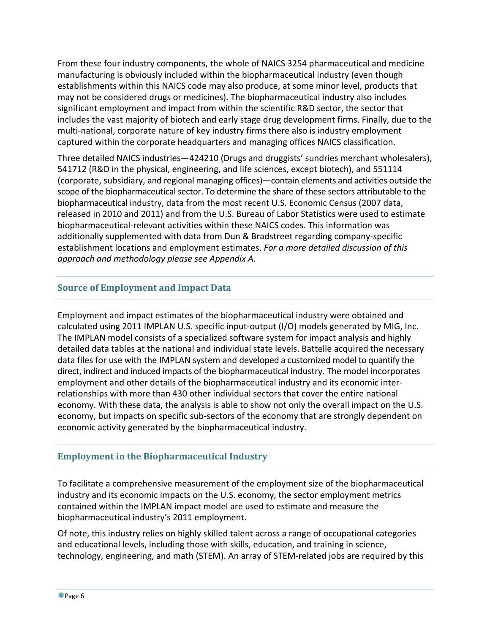From these four industry components, the whole of NAICS 3254 pharmaceutical and medicine manufacturing is obviously included within the biopharmaceutical industry (even though establishments within this NAICS code may also produce, at some minor level, products that may not be considered drugs or medicines). The biopharmaceutical industry also includes significant employment and impact from within the scientific R&D sector, the sector that includes the vast majority of biotech and early stage drug development firms. Finally, due to the multi-national, corporate nature of key industry firms there also is industry employment captured within the corporate headquarters and managing offices NAICS classification.

Three detailed NAICS industries—424210 (Drugs and druggists' sundries merchant wholesalers), 541712 (R&D in the physical, engineering, and life sciences, except biotech), and 551114 (corporate, subsidiary, and regional managing offices)—contain elements and activities outside the scope of the biopharmaceutical sector. To determine the share of these sectors attributable to the biopharmaceutical industry, data from the most recent U.S. Economic Census (2007 data, released in 2010 and 2011) and from the U.S. Bureau of Labor Statistics were used to estimate biopharmaceutical‐relevant activities within these NAICS codes. This information was additionally supplemented with data from Dun & Bradstreet regarding company‐specific establishment locations and employment estimates. *For a more detailed discussion of this approach and methodology please see Appendix A.* 

# **Source of Employment and Impact Data**

Employment and impact estimates of the biopharmaceutical industry were obtained and calculated using 2011 IMPLAN U.S. specific input‐output (I/O) models generated by MIG, Inc. The IMPLAN model consists of a specialized software system for impact analysis and highly detailed data tables at the national and individual state levels. Battelle acquired the necessary data files for use with the IMPLAN system and developed a customized model to quantify the direct, indirect and induced impacts of the biopharmaceutical industry. The model incorporates employment and other details of the biopharmaceutical industry and its economic inter‐ relationships with more than 430 other individual sectors that cover the entire national economy. With these data, the analysis is able to show not only the overall impact on the U.S. economy, but impacts on specific sub‐sectors of the economy that are strongly dependent on economic activity generated by the biopharmaceutical industry.

#### **Employment in the Biopharmaceutical Industry**

To facilitate a comprehensive measurement of the employment size of the biopharmaceutical industry and its economic impacts on the U.S. economy, the sector employment metrics contained within the IMPLAN impact model are used to estimate and measure the biopharmaceutical industry's 2011 employment.

Of note, this industry relies on highly skilled talent across a range of occupational categories and educational levels, including those with skills, education, and training in science, technology, engineering, and math (STEM). An array of STEM‐related jobs are required by this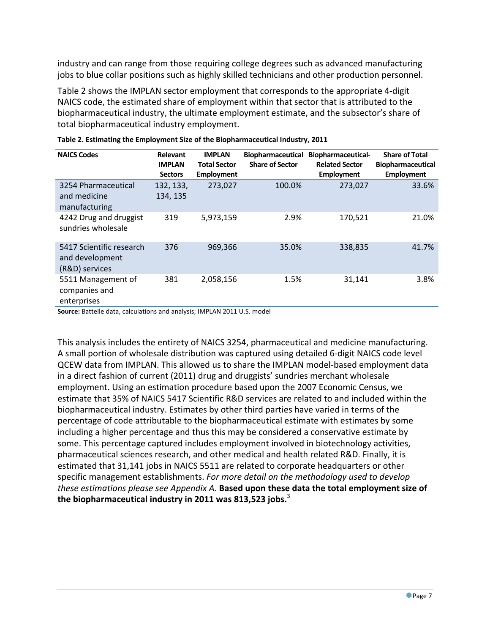industry and can range from those requiring college degrees such as advanced manufacturing jobs to blue collar positions such as highly skilled technicians and other production personnel.

Table 2 shows the IMPLAN sector employment that corresponds to the appropriate 4‐digit NAICS code, the estimated share of employment within that sector that is attributed to the biopharmaceutical industry, the ultimate employment estimate, and the subsector's share of total biopharmaceutical industry employment.

| <b>NAICS Codes</b>                                            | <b>Relevant</b><br><b>IMPLAN</b><br><b>Sectors</b> | <b>IMPLAN</b><br><b>Total Sector</b><br><b>Employment</b> | <b>Biopharmaceutical</b><br><b>Share of Sector</b> | <b>Biopharmaceutical-</b><br><b>Related Sector</b><br><b>Employment</b> | <b>Share of Total</b><br><b>Biopharmaceutical</b><br><b>Employment</b> |
|---------------------------------------------------------------|----------------------------------------------------|-----------------------------------------------------------|----------------------------------------------------|-------------------------------------------------------------------------|------------------------------------------------------------------------|
| 3254 Pharmaceutical<br>and medicine<br>manufacturing          | 132, 133,<br>134, 135                              | 273,027                                                   | 100.0%                                             | 273,027                                                                 | 33.6%                                                                  |
| 4242 Drug and druggist<br>sundries wholesale                  | 319                                                | 5,973,159                                                 | 2.9%                                               | 170,521                                                                 | 21.0%                                                                  |
| 5417 Scientific research<br>and development<br>(R&D) services | 376                                                | 969,366                                                   | 35.0%                                              | 338,835                                                                 | 41.7%                                                                  |
| 5511 Management of<br>companies and<br>enterprises            | 381                                                | 2,058,156                                                 | 1.5%                                               | 31,141                                                                  | 3.8%                                                                   |

|  |  | Table 2. Estimating the Employment Size of the Biopharmaceutical Industry, 2011 |  |
|--|--|---------------------------------------------------------------------------------|--|
|  |  |                                                                                 |  |

**Source:** Battelle data, calculations and analysis; IMPLAN 2011 U.S. model

This analysis includes the entirety of NAICS 3254, pharmaceutical and medicine manufacturing. A small portion of wholesale distribution was captured using detailed 6‐digit NAICS code level QCEW data from IMPLAN. This allowed us to share the IMPLAN model‐based employment data in a direct fashion of current (2011) drug and druggists' sundries merchant wholesale employment. Using an estimation procedure based upon the 2007 Economic Census, we estimate that 35% of NAICS 5417 Scientific R&D services are related to and included within the biopharmaceutical industry. Estimates by other third parties have varied in terms of the percentage of code attributable to the biopharmaceutical estimate with estimates by some including a higher percentage and thus this may be considered a conservative estimate by some. This percentage captured includes employment involved in biotechnology activities, pharmaceutical sciences research, and other medical and health related R&D. Finally, it is estimated that 31,141 jobs in NAICS 5511 are related to corporate headquarters or other specific management establishments. *For more detail on the methodology used to develop these estimations please see Appendix A.* **Based upon these data the total employment size of the biopharmaceutical industry in 2011 was 813,523 jobs.**<sup>3</sup>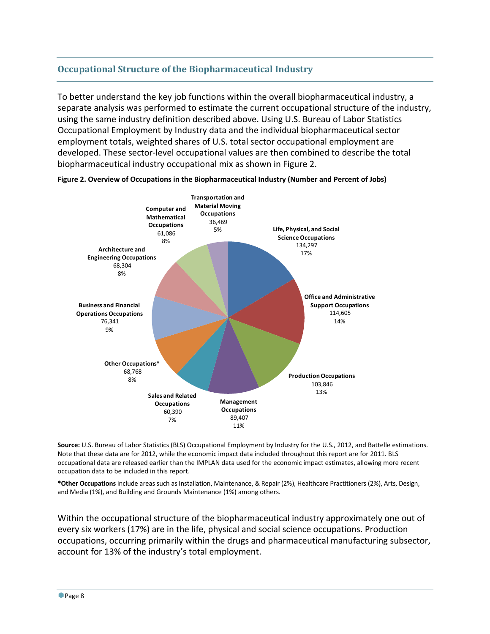#### **Occupational Structure of the Biopharmaceutical Industry**

To better understand the key job functions within the overall biopharmaceutical industry, a separate analysis was performed to estimate the current occupational structure of the industry, using the same industry definition described above. Using U.S. Bureau of Labor Statistics Occupational Employment by Industry data and the individual biopharmaceutical sector employment totals, weighted shares of U.S. total sector occupational employment are developed. These sector‐level occupational values are then combined to describe the total biopharmaceutical industry occupational mix as shown in Figure 2.





**Source:** U.S. Bureau of Labor Statistics (BLS) Occupational Employment by Industry for the U.S., 2012, and Battelle estimations. Note that these data are for 2012, while the economic impact data included throughout this report are for 2011. BLS occupational data are released earlier than the IMPLAN data used for the economic impact estimates, allowing more recent occupation data to be included in this report.

**\*Other Occupations** include areas such as Installation, Maintenance, & Repair (2%), Healthcare Practitioners (2%), Arts, Design, and Media (1%), and Building and Grounds Maintenance (1%) among others.

Within the occupational structure of the biopharmaceutical industry approximately one out of every six workers (17%) are in the life, physical and social science occupations. Production occupations, occurring primarily within the drugs and pharmaceutical manufacturing subsector, account for 13% of the industry's total employment.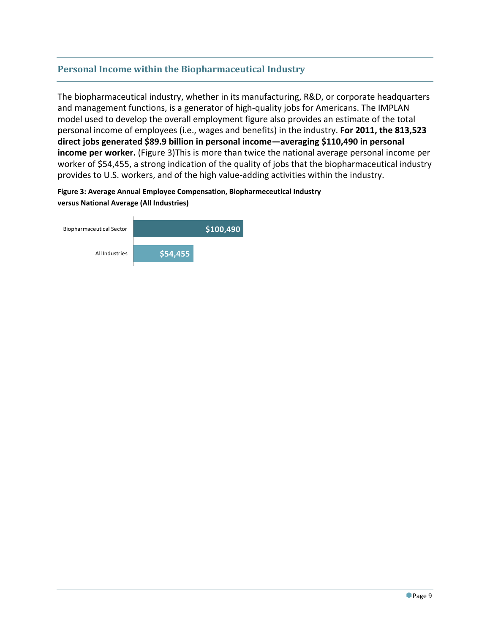#### **Personal Income within the Biopharmaceutical Industry**

The biopharmaceutical industry, whether in its manufacturing, R&D, or corporate headquarters and management functions, is a generator of high‐quality jobs for Americans. The IMPLAN model used to develop the overall employment figure also provides an estimate of the total personal income of employees (i.e., wages and benefits) in the industry. **For 2011, the 813,523 direct jobs generated \$89.9 billion in personal income—averaging \$110,490 in personal income per worker.** (Figure 3)This is more than twice the national average personal income per worker of \$54,455, a strong indication of the quality of jobs that the biopharmaceutical industry provides to U.S. workers, and of the high value‐adding activities within the industry.

**Figure 3: Average Annual Employee Compensation, Biopharmeceutical Industry versus National Average (All Industries)** 

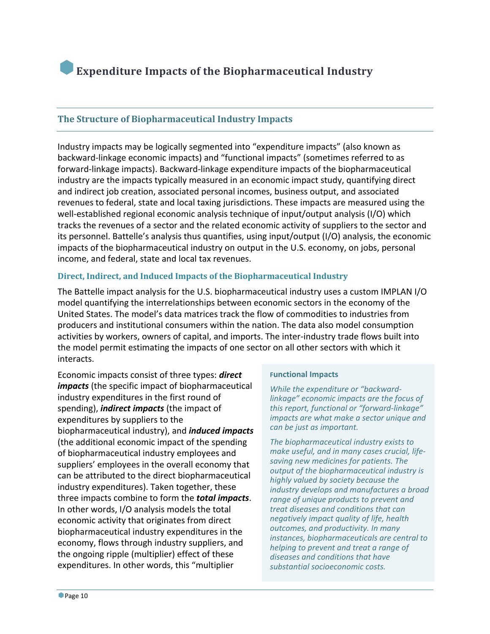# **Expenditure Impacts of the Biopharmaceutical Industry**

#### **The Structure of Biopharmaceutical Industry Impacts**

Industry impacts may be logically segmented into "expenditure impacts" (also known as backward‐linkage economic impacts) and "functional impacts" (sometimes referred to as forward‐linkage impacts). Backward‐linkage expenditure impacts of the biopharmaceutical industry are the impacts typically measured in an economic impact study, quantifying direct and indirect job creation, associated personal incomes, business output, and associated revenues to federal, state and local taxing jurisdictions. These impacts are measured using the well-established regional economic analysis technique of input/output analysis (I/O) which tracks the revenues of a sector and the related economic activity of suppliers to the sector and its personnel. Battelle's analysis thus quantifies, using input/output (I/O) analysis, the economic impacts of the biopharmaceutical industry on output in the U.S. economy, on jobs, personal income, and federal, state and local tax revenues.

#### **Direct, Indirect, and Induced Impacts of the Biopharmaceutical Industry**

The Battelle impact analysis for the U.S. biopharmaceutical industry uses a custom IMPLAN I/O model quantifying the interrelationships between economic sectors in the economy of the United States. The model's data matrices track the flow of commodities to industries from producers and institutional consumers within the nation. The data also model consumption activities by workers, owners of capital, and imports. The inter‐industry trade flows built into the model permit estimating the impacts of one sector on all other sectors with which it interacts.

Economic impacts consist of three types: *direct impacts* (the specific impact of biopharmaceutical industry expenditures in the first round of spending), *indirect impacts* (the impact of expenditures by suppliers to the biopharmaceutical industry), and *induced impacts* (the additional economic impact of the spending of biopharmaceutical industry employees and suppliers' employees in the overall economy that can be attributed to the direct biopharmaceutical industry expenditures). Taken together, these three impacts combine to form the *total impacts*. In other words, I/O analysis models the total economic activity that originates from direct biopharmaceutical industry expenditures in the economy, flows through industry suppliers, and the ongoing ripple (multiplier) effect of these expenditures. In other words, this "multiplier

#### **Functional Impacts**

*While the expenditure or "backward‐ linkage" economic impacts are the focus of this report, functional or "forward‐linkage" impacts are what make a sector unique and can be just as important.* 

*The biopharmaceutical industry exists to make useful, and in many cases crucial, life‐ saving new medicines for patients. The output of the biopharmaceutical industry is highly valued by society because the industry develops and manufactures a broad range of unique products to prevent and treat diseases and conditions that can negatively impact quality of life, health outcomes, and productivity. In many instances, biopharmaceuticals are central to helping to prevent and treat a range of diseases and conditions that have substantial socioeconomic costs.*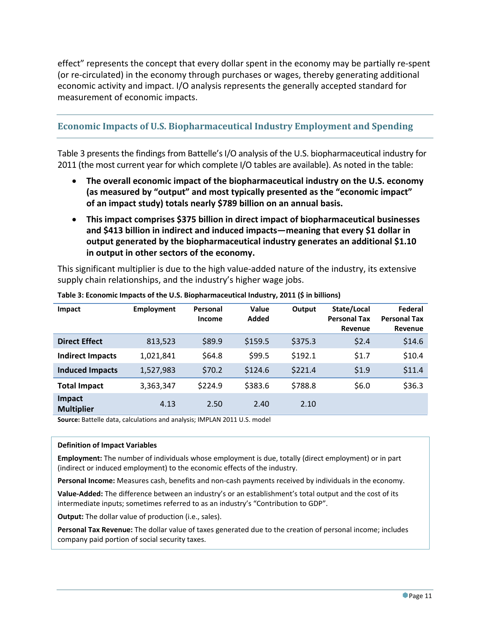effect" represents the concept that every dollar spent in the economy may be partially re‐spent (or re‐circulated) in the economy through purchases or wages, thereby generating additional economic activity and impact. I/O analysis represents the generally accepted standard for measurement of economic impacts.

#### **Economic Impacts of U.S. Biopharmaceutical Industry Employment and Spending**

Table 3 presents the findings from Battelle's I/O analysis of the U.S. biopharmaceutical industry for 2011 (the most current year for which complete I/O tables are available). As noted in the table:

- **The overall economic impact of the biopharmaceutical industry on the U.S. economy (as measured by "output" and most typically presented as the "economic impact" of an impact study) totals nearly \$789 billion on an annual basis.**
- **This impact comprises \$375 billion in direct impact of biopharmaceutical businesses and \$413 billion in indirect and induced impacts—meaning that every \$1 dollar in output generated by the biopharmaceutical industry generates an additional \$1.10 in output in other sectors of the economy.**

This significant multiplier is due to the high value‐added nature of the industry, its extensive supply chain relationships, and the industry's higher wage jobs.

| Impact                      | <b>Employment</b> | Personal<br>Income | Value<br>Added | Output  | State/Local<br><b>Personal Tax</b><br>Revenue | Federal<br><b>Personal Tax</b><br>Revenue |
|-----------------------------|-------------------|--------------------|----------------|---------|-----------------------------------------------|-------------------------------------------|
| <b>Direct Effect</b>        | 813,523           | \$89.9             | \$159.5        | \$375.3 | \$2.4                                         | \$14.6                                    |
| <b>Indirect Impacts</b>     | 1,021,841         | \$64.8             | \$99.5         | \$192.1 | \$1.7                                         | \$10.4                                    |
| <b>Induced Impacts</b>      | 1,527,983         | \$70.2             | \$124.6        | \$221.4 | \$1.9                                         | \$11.4                                    |
| <b>Total Impact</b>         | 3,363,347         | \$224.9            | \$383.6        | \$788.8 | \$6.0                                         | \$36.3                                    |
| Impact<br><b>Multiplier</b> | 4.13              | 2.50               | 2.40           | 2.10    |                                               |                                           |

**Table 3: Economic Impacts of the U.S. Biopharmaceutical Industry, 2011 (\$ in billions)**

**Source:** Battelle data, calculations and analysis; IMPLAN 2011 U.S. model

#### **Definition of Impact Variables**

**Employment:** The number of individuals whose employment is due, totally (direct employment) or in part (indirect or induced employment) to the economic effects of the industry.

**Personal Income:** Measures cash, benefits and non‐cash payments received by individuals in the economy.

**Value‐Added:** The difference between an industry's or an establishment's total output and the cost of its intermediate inputs; sometimes referred to as an industry's "Contribution to GDP".

**Output:** The dollar value of production (i.e., sales).

**Personal Tax Revenue:** The dollar value of taxes generated due to the creation of personal income; includes company paid portion of social security taxes.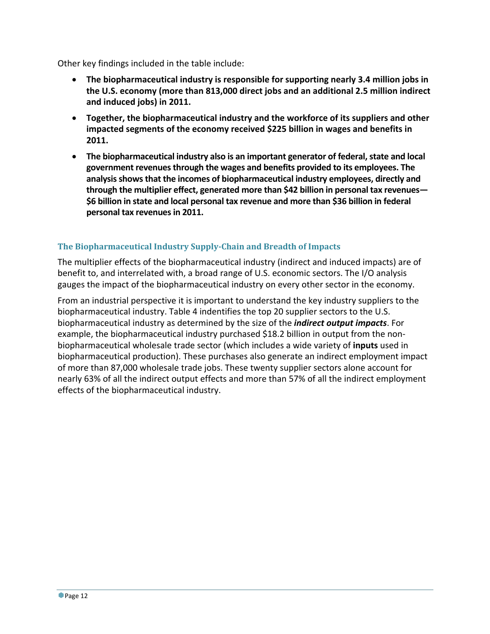Other key findings included in the table include:

- **The biopharmaceutical industry is responsible for supporting nearly 3.4 million jobs in the U.S. economy (more than 813,000 direct jobs and an additional 2.5 million indirect and induced jobs) in 2011.**
- **Together, the biopharmaceutical industry and the workforce of its suppliers and other impacted segments of the economy received \$225 billion in wages and benefits in 2011.**
- **•** The biopharmaceutical industry also is an important generator of federal, state and local **government revenuesthrough the wages and benefits provided to its employees. The analysisshowsthat the incomes of biopharmaceutical industry employees, directly and through the multiplier effect, generated more than \$42 billion in personal tax revenues— \$6 billion in state and local personal tax revenue and more than \$36 billion in federal personal tax revenuesin 2011.**

#### **The Biopharmaceutical Industry Supply‐Chain and Breadth of Impacts**

The multiplier effects of the biopharmaceutical industry (indirect and induced impacts) are of benefit to, and interrelated with, a broad range of U.S. economic sectors. The I/O analysis gauges the impact of the biopharmaceutical industry on every other sector in the economy.

From an industrial perspective it is important to understand the key industry suppliers to the biopharmaceutical industry. Table 4 indentifies the top 20 supplier sectors to the U.S. biopharmaceutical industry as determined by the size of the *indirect output impacts*. For example, the biopharmaceutical industry purchased \$18.2 billion in output from the nonbiopharmaceutical wholesale trade sector (which includes a wide variety of **inputs** used in biopharmaceutical production). These purchases also generate an indirect employment impact of more than 87,000 wholesale trade jobs. These twenty supplier sectors alone account for nearly 63% of all the indirect output effects and more than 57% of all the indirect employment effects of the biopharmaceutical industry.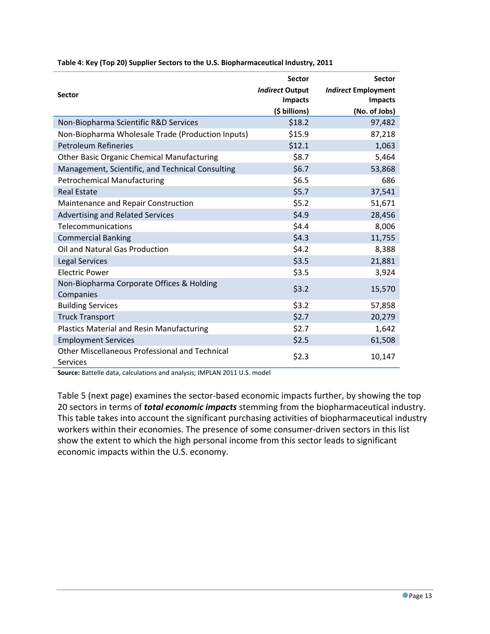|                                                                          | <b>Sector</b>          | <b>Sector</b>              |
|--------------------------------------------------------------------------|------------------------|----------------------------|
| Sector                                                                   | <b>Indirect Output</b> | <b>Indirect Employment</b> |
|                                                                          | <b>Impacts</b>         | Impacts                    |
|                                                                          | (\$ billions)          | (No. of Jobs)              |
| Non-Biopharma Scientific R&D Services                                    | \$18.2                 | 97,482                     |
| Non-Biopharma Wholesale Trade (Production Inputs)                        | \$15.9                 | 87,218                     |
| <b>Petroleum Refineries</b>                                              | \$12.1                 | 1,063                      |
| <b>Other Basic Organic Chemical Manufacturing</b>                        | \$8.7                  | 5,464                      |
| Management, Scientific, and Technical Consulting                         | \$6.7                  | 53,868                     |
| <b>Petrochemical Manufacturing</b>                                       | \$6.5                  | 686                        |
| <b>Real Estate</b>                                                       | \$5.7                  | 37,541                     |
| Maintenance and Repair Construction                                      | \$5.2                  | 51,671                     |
| <b>Advertising and Related Services</b>                                  | \$4.9                  | 28,456                     |
| Telecommunications                                                       | \$4.4                  | 8,006                      |
| <b>Commercial Banking</b>                                                | \$4.3                  | 11,755                     |
| Oil and Natural Gas Production                                           | \$4.2                  | 8,388                      |
| <b>Legal Services</b>                                                    | \$3.5                  | 21,881                     |
| <b>Electric Power</b>                                                    | \$3.5                  | 3,924                      |
| Non-Biopharma Corporate Offices & Holding                                | \$3.2                  | 15,570                     |
| Companies                                                                |                        |                            |
| <b>Building Services</b>                                                 | \$3.2                  | 57,858                     |
| <b>Truck Transport</b>                                                   | \$2.7                  | 20,279                     |
| <b>Plastics Material and Resin Manufacturing</b>                         | \$2.7                  | 1,642                      |
| <b>Employment Services</b>                                               | \$2.5                  | 61,508                     |
| <b>Other Miscellaneous Professional and Technical</b><br><b>Services</b> | \$2.3                  | 10,147                     |

**Table 4: Key (Top 20) Supplier Sectors to the U.S. Biopharmaceutical Industry, 2011**

**Source:** Battelle data, calculations and analysis; IMPLAN 2011 U.S. model

Table 5 (next page) examines the sector-based economic impacts further, by showing the top 20 sectors in terms of *total economic impacts* stemming from the biopharmaceutical industry. This table takes into account the significant purchasing activities of biopharmaceutical industry workers within their economies. The presence of some consumer‐driven sectors in this list show the extent to which the high personal income from this sector leads to significant economic impacts within the U.S. economy.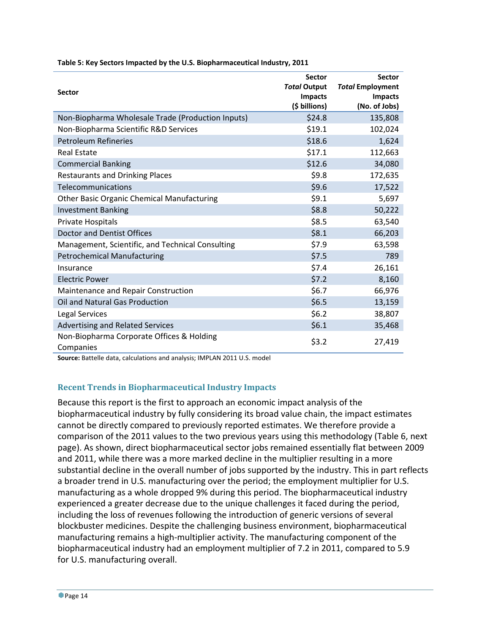| <b>Sector</b>                                          | <b>Sector</b><br><b>Total Output</b><br><b>Impacts</b><br>(\$ billions) | <b>Sector</b><br><b>Total Employment</b><br><b>Impacts</b><br>(No. of Jobs) |
|--------------------------------------------------------|-------------------------------------------------------------------------|-----------------------------------------------------------------------------|
| Non-Biopharma Wholesale Trade (Production Inputs)      | \$24.8                                                                  | 135,808                                                                     |
| Non-Biopharma Scientific R&D Services                  | \$19.1                                                                  | 102,024                                                                     |
| <b>Petroleum Refineries</b>                            | \$18.6                                                                  | 1,624                                                                       |
| <b>Real Estate</b>                                     | \$17.1                                                                  | 112,663                                                                     |
| <b>Commercial Banking</b>                              | \$12.6                                                                  | 34,080                                                                      |
| <b>Restaurants and Drinking Places</b>                 | \$9.8                                                                   | 172,635                                                                     |
| Telecommunications                                     | \$9.6                                                                   | 17,522                                                                      |
| <b>Other Basic Organic Chemical Manufacturing</b>      | \$9.1                                                                   | 5,697                                                                       |
| <b>Investment Banking</b>                              | \$8.8                                                                   | 50,222                                                                      |
| Private Hospitals                                      | \$8.5                                                                   | 63,540                                                                      |
| <b>Doctor and Dentist Offices</b>                      | \$8.1                                                                   | 66,203                                                                      |
| Management, Scientific, and Technical Consulting       | \$7.9                                                                   | 63,598                                                                      |
| <b>Petrochemical Manufacturing</b>                     | \$7.5                                                                   | 789                                                                         |
| Insurance                                              | \$7.4                                                                   | 26,161                                                                      |
| <b>Electric Power</b>                                  | \$7.2                                                                   | 8,160                                                                       |
| Maintenance and Repair Construction                    | \$6.7                                                                   | 66,976                                                                      |
| <b>Oil and Natural Gas Production</b>                  | \$6.5                                                                   | 13,159                                                                      |
| <b>Legal Services</b>                                  | \$6.2                                                                   | 38,807                                                                      |
| <b>Advertising and Related Services</b>                | \$6.1                                                                   | 35,468                                                                      |
| Non-Biopharma Corporate Offices & Holding<br>Companies | \$3.2                                                                   | 27,419                                                                      |

**Table 5: Key Sectors Impacted by the U.S. Biopharmaceutical Industry, 2011**

**Source:** Battelle data, calculations and analysis; IMPLAN 2011 U.S. model

#### **Recent Trends in Biopharmaceutical Industry Impacts**

Because this report is the first to approach an economic impact analysis of the biopharmaceutical industry by fully considering its broad value chain, the impact estimates cannot be directly compared to previously reported estimates. We therefore provide a comparison of the 2011 values to the two previous years using this methodology (Table 6, next page). As shown, direct biopharmaceutical sector jobs remained essentially flat between 2009 and 2011, while there was a more marked decline in the multiplier resulting in a more substantial decline in the overall number of jobs supported by the industry. This in part reflects a broader trend in U.S. manufacturing over the period; the employment multiplier for U.S. manufacturing as a whole dropped 9% during this period. The biopharmaceutical industry experienced a greater decrease due to the unique challenges it faced during the period, including the loss of revenues following the introduction of generic versions of several blockbuster medicines. Despite the challenging business environment, biopharmaceutical manufacturing remains a high‐multiplier activity. The manufacturing component of the biopharmaceutical industry had an employment multiplier of 7.2 in 2011, compared to 5.9 for U.S. manufacturing overall.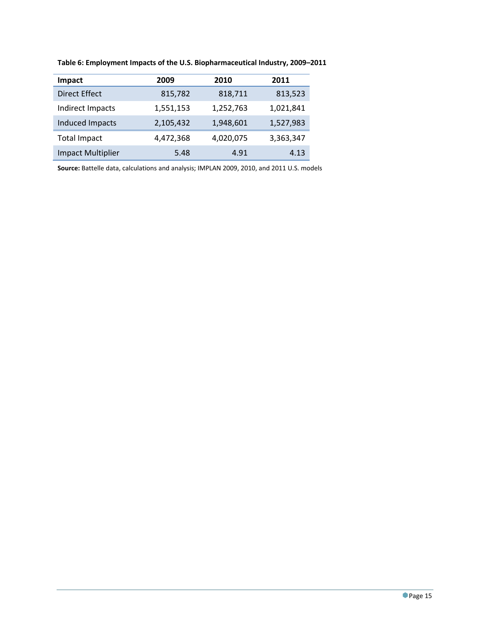| Impact                   | 2009      | 2010      | 2011      |
|--------------------------|-----------|-----------|-----------|
| <b>Direct Effect</b>     | 815,782   | 818,711   | 813,523   |
| Indirect Impacts         | 1,551,153 | 1,252,763 | 1,021,841 |
| Induced Impacts          | 2,105,432 | 1,948,601 | 1,527,983 |
| <b>Total Impact</b>      | 4,472,368 | 4,020,075 | 3,363,347 |
| <b>Impact Multiplier</b> | 5.48      | 4.91      | 4.13      |

**Table 6: Employment Impacts of the U.S. Biopharmaceutical Industry, 2009–2011**

**Source:** Battelle data, calculations and analysis; IMPLAN 2009, 2010, and 2011 U.S. models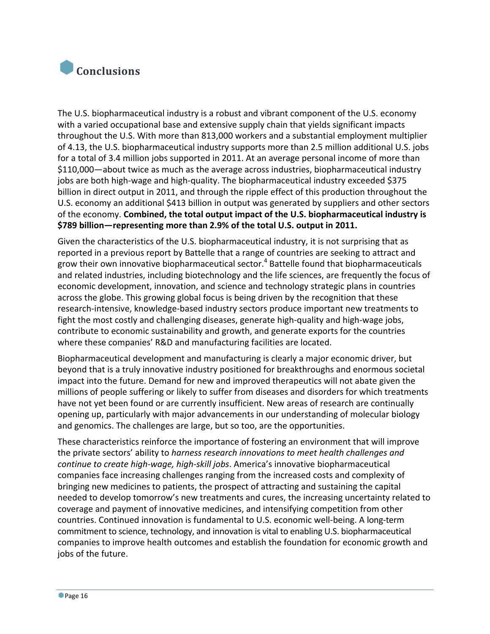

The U.S. biopharmaceutical industry is a robust and vibrant component of the U.S. economy with a varied occupational base and extensive supply chain that yields significant impacts throughout the U.S. With more than 813,000 workers and a substantial employment multiplier of 4.13, the U.S. biopharmaceutical industry supports more than 2.5 million additional U.S. jobs for a total of 3.4 million jobs supported in 2011. At an average personal income of more than \$110,000—about twice as much as the average across industries, biopharmaceutical industry jobs are both high-wage and high-quality. The biopharmaceutical industry exceeded \$375 billion in direct output in 2011, and through the ripple effect of this production throughout the U.S. economy an additional \$413 billion in output was generated by suppliers and other sectors of the economy. **Combined, the total output impact of the U.S. biopharmaceutical industry is \$789 billion—representing more than 2.9% of the total U.S. output in 2011.**

Given the characteristics of the U.S. biopharmaceutical industry, it is not surprising that as reported in a previous report by Battelle that a range of countries are seeking to attract and grow their own innovative biopharmaceutical sector.<sup>4</sup> Battelle found that biopharmaceuticals and related industries, including biotechnology and the life sciences, are frequently the focus of economic development, innovation, and science and technology strategic plans in countries across the globe. This growing global focus is being driven by the recognition that these research-intensive, knowledge-based industry sectors produce important new treatments to fight the most costly and challenging diseases, generate high‐quality and high‐wage jobs, contribute to economic sustainability and growth, and generate exports for the countries where these companies' R&D and manufacturing facilities are located.

Biopharmaceutical development and manufacturing is clearly a major economic driver, but beyond that is a truly innovative industry positioned for breakthroughs and enormous societal impact into the future. Demand for new and improved therapeutics will not abate given the millions of people suffering or likely to suffer from diseases and disorders for which treatments have not yet been found or are currently insufficient. New areas of research are continually opening up, particularly with major advancements in our understanding of molecular biology and genomics. The challenges are large, but so too, are the opportunities.

These characteristics reinforce the importance of fostering an environment that will improve the private sectors' ability to *harness research innovations to meet health challenges and continue to create high‐wage, high‐skill jobs*. America's innovative biopharmaceutical companies face increasing challenges ranging from the increased costs and complexity of bringing new medicines to patients, the prospect of attracting and sustaining the capital needed to develop tomorrow's new treatments and cures, the increasing uncertainty related to coverage and payment of innovative medicines, and intensifying competition from other countries. Continued innovation is fundamental to U.S. economic well‐being. A long‐term commitment to science, technology, and innovation is vital to enabling U.S. biopharmaceutical companies to improve health outcomes and establish the foundation for economic growth and jobs of the future.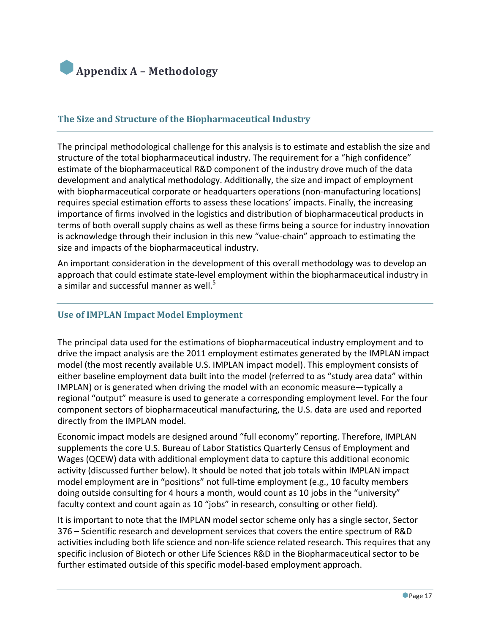

#### **The Size and Structure of the Biopharmaceutical Industry**

The principal methodological challenge for this analysis is to estimate and establish the size and structure of the total biopharmaceutical industry. The requirement for a "high confidence" estimate of the biopharmaceutical R&D component of the industry drove much of the data development and analytical methodology. Additionally, the size and impact of employment with biopharmaceutical corporate or headquarters operations (non-manufacturing locations) requires special estimation efforts to assess these locations' impacts. Finally, the increasing importance of firms involved in the logistics and distribution of biopharmaceutical products in terms of both overall supply chains as well as these firms being a source for industry innovation is acknowledge through their inclusion in this new "value‐chain" approach to estimating the size and impacts of the biopharmaceutical industry.

An important consideration in the development of this overall methodology was to develop an approach that could estimate state‐level employment within the biopharmaceutical industry in a similar and successful manner as well.<sup>5</sup>

#### **Use of IMPLAN Impact Model Employment**

The principal data used for the estimations of biopharmaceutical industry employment and to drive the impact analysis are the 2011 employment estimates generated by the IMPLAN impact model (the most recently available U.S. IMPLAN impact model). This employment consists of either baseline employment data built into the model (referred to as "study area data" within IMPLAN) or is generated when driving the model with an economic measure—typically a regional "output" measure is used to generate a corresponding employment level. For the four component sectors of biopharmaceutical manufacturing, the U.S. data are used and reported directly from the IMPLAN model.

Economic impact models are designed around "full economy" reporting. Therefore, IMPLAN supplements the core U.S. Bureau of Labor Statistics Quarterly Census of Employment and Wages (QCEW) data with additional employment data to capture this additional economic activity (discussed further below). It should be noted that job totals within IMPLAN impact model employment are in "positions" not full‐time employment (e.g., 10 faculty members doing outside consulting for 4 hours a month, would count as 10 jobs in the "university" faculty context and count again as 10 "jobs" in research, consulting or other field).

It is important to note that the IMPLAN model sector scheme only has a single sector, Sector 376 – Scientific research and development services that covers the entire spectrum of R&D activities including both life science and non‐life science related research. This requires that any specific inclusion of Biotech or other Life Sciences R&D in the Biopharmaceutical sector to be further estimated outside of this specific model‐based employment approach.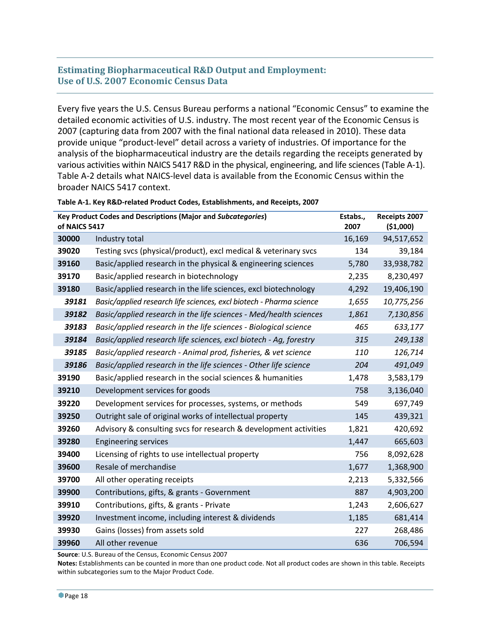#### **Estimating Biopharmaceutical R&D Output and Employment: Use of U.S. 2007 Economic Census Data**

Every five years the U.S. Census Bureau performs a national "Economic Census" to examine the detailed economic activities of U.S. industry. The most recent year of the Economic Census is 2007 (capturing data from 2007 with the final national data released in 2010). These data provide unique "product‐level" detail across a variety of industries. Of importance for the analysis of the biopharmaceutical industry are the details regarding the receipts generated by various activities within NAICS 5417 R&D in the physical, engineering, and life sciences(Table A‐1). Table A‐2 details what NAICS‐level data is available from the Economic Census within the broader NAICS 5417 context.

| of NAICS 5417 | <b>Key Product Codes and Descriptions (Major and Subcategories)</b> | Estabs.,<br>2007 | Receipts 2007<br>( \$1,000) |
|---------------|---------------------------------------------------------------------|------------------|-----------------------------|
| 30000         | Industry total                                                      | 16,169           | 94,517,652                  |
| 39020         | Testing svcs (physical/product), excl medical & veterinary svcs     | 134              | 39,184                      |
| 39160         | Basic/applied research in the physical & engineering sciences       | 5,780            | 33,938,782                  |
| 39170         | Basic/applied research in biotechnology                             | 2,235            | 8,230,497                   |
| 39180         | Basic/applied research in the life sciences, excl biotechnology     | 4,292            | 19,406,190                  |
| 39181         | Basic/applied research life sciences, excl biotech - Pharma science | 1,655            | 10,775,256                  |
| 39182         | Basic/applied research in the life sciences - Med/health sciences   | 1,861            | 7,130,856                   |
| 39183         | Basic/applied research in the life sciences - Biological science    | 465              | 633,177                     |
| 39184         | Basic/applied research life sciences, excl biotech - Aq, forestry   | 315              | 249,138                     |
| 39185         | Basic/applied research - Animal prod, fisheries, & vet science      | 110              | 126,714                     |
| 39186         | Basic/applied research in the life sciences - Other life science    | 204              | 491,049                     |
| 39190         | Basic/applied research in the social sciences & humanities          | 1,478            | 3,583,179                   |
| 39210         | Development services for goods                                      | 758              | 3,136,040                   |
| 39220         | Development services for processes, systems, or methods             | 549              | 697,749                     |
| 39250         | Outright sale of original works of intellectual property            | 145              | 439,321                     |
| 39260         | Advisory & consulting svcs for research & development activities    | 1,821            | 420,692                     |
| 39280         | <b>Engineering services</b>                                         | 1,447            | 665,603                     |
| 39400         | Licensing of rights to use intellectual property                    | 756              | 8,092,628                   |
| 39600         | Resale of merchandise                                               | 1,677            | 1,368,900                   |
| 39700         | All other operating receipts                                        | 2,213            | 5,332,566                   |
| 39900         | Contributions, gifts, & grants - Government                         | 887              | 4,903,200                   |
| 39910         | Contributions, gifts, & grants - Private                            | 1,243            | 2,606,627                   |
| 39920         | Investment income, including interest & dividends                   | 1,185            | 681,414                     |
| 39930         | Gains (losses) from assets sold                                     | 227              | 268,486                     |
| 39960         | All other revenue                                                   | 636              | 706,594                     |

**Table A‐1. Key R&D‐related Product Codes, Establishments, and Receipts, 2007**

**Source**: U.S. Bureau of the Census, Economic Census 2007

**Notes:** Establishments can be counted in more than one product code. Not all product codes are shown in this table. Receipts within subcategories sum to the Major Product Code.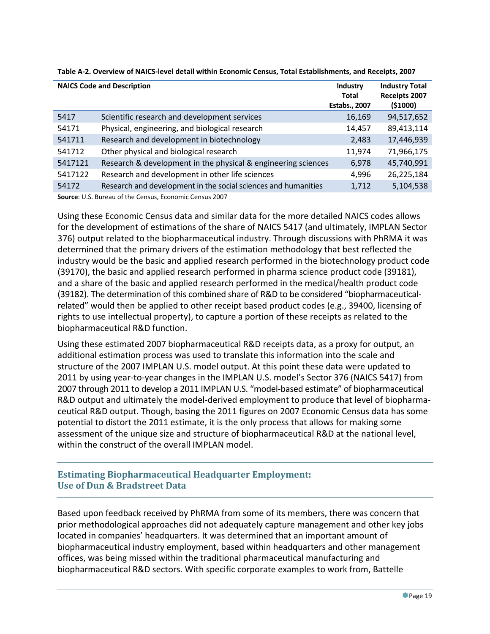|         | <b>NAICS Code and Description</b>                              | Industry<br><b>Total</b><br><b>Estabs., 2007</b> | <b>Industry Total</b><br>Receipts 2007<br>( \$1000) |
|---------|----------------------------------------------------------------|--------------------------------------------------|-----------------------------------------------------|
| 5417    | Scientific research and development services                   | 16,169                                           | 94,517,652                                          |
| 54171   | Physical, engineering, and biological research                 | 14,457                                           | 89,413,114                                          |
| 541711  | Research and development in biotechnology                      | 2,483                                            | 17,446,939                                          |
| 541712  | Other physical and biological research                         | 11,974                                           | 71,966,175                                          |
| 5417121 | Research & development in the physical & engineering sciences  | 6,978                                            | 45,740,991                                          |
| 5417122 | Research and development in other life sciences                | 4,996                                            | 26,225,184                                          |
| 54172   | Research and development in the social sciences and humanities | 1,712                                            | 5,104,538                                           |

Table A-2. Overview of NAICS-level detail within Economic Census, Total Establishments, and Receipts, 2007

**Source**: U.S. Bureau of the Census, Economic Census 2007

Using these Economic Census data and similar data for the more detailed NAICS codes allows for the development of estimations of the share of NAICS 5417 (and ultimately, IMPLAN Sector 376) output related to the biopharmaceutical industry. Through discussions with PhRMA it was determined that the primary drivers of the estimation methodology that best reflected the industry would be the basic and applied research performed in the biotechnology product code (39170), the basic and applied research performed in pharma science product code (39181), and a share of the basic and applied research performed in the medical/health product code (39182). The determination of this combined share of R&D to be considered "biopharmaceutical‐ related" would then be applied to other receipt based product codes (e.g., 39400, licensing of rights to use intellectual property), to capture a portion of these receipts as related to the biopharmaceutical R&D function.

Using these estimated 2007 biopharmaceutical R&D receipts data, as a proxy for output, an additional estimation process was used to translate this information into the scale and structure of the 2007 IMPLAN U.S. model output. At this point these data were updated to 2011 by using year-to-year changes in the IMPLAN U.S. model's Sector 376 (NAICS 5417) from 2007 through 2011 to develop a 2011 IMPLAN U.S. "model‐based estimate" of biopharmaceutical R&D output and ultimately the model‐derived employment to produce that level of biopharma‐ ceutical R&D output. Though, basing the 2011 figures on 2007 Economic Census data has some potential to distort the 2011 estimate, it is the only process that allows for making some assessment of the unique size and structure of biopharmaceutical R&D at the national level, within the construct of the overall IMPLAN model.

#### **Estimating Biopharmaceutical Headquarter Employment: Use of Dun & Bradstreet Data**

Based upon feedback received by PhRMA from some of its members, there was concern that prior methodological approaches did not adequately capture management and other key jobs located in companies' headquarters. It was determined that an important amount of biopharmaceutical industry employment, based within headquarters and other management offices, was being missed within the traditional pharmaceutical manufacturing and biopharmaceutical R&D sectors. With specific corporate examples to work from, Battelle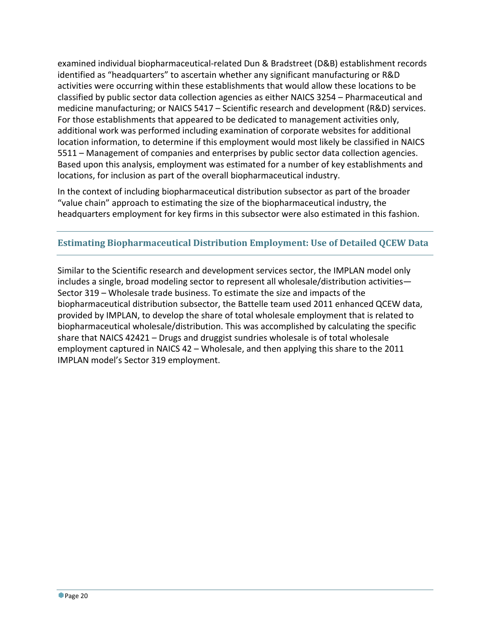examined individual biopharmaceutical‐related Dun & Bradstreet (D&B) establishment records identified as "headquarters" to ascertain whether any significant manufacturing or R&D activities were occurring within these establishments that would allow these locations to be classified by public sector data collection agencies as either NAICS 3254 – Pharmaceutical and medicine manufacturing; or NAICS 5417 – Scientific research and development (R&D) services. For those establishments that appeared to be dedicated to management activities only, additional work was performed including examination of corporate websites for additional location information, to determine if this employment would most likely be classified in NAICS 5511 – Management of companies and enterprises by public sector data collection agencies. Based upon this analysis, employment was estimated for a number of key establishments and locations, for inclusion as part of the overall biopharmaceutical industry.

In the context of including biopharmaceutical distribution subsector as part of the broader "value chain" approach to estimating the size of the biopharmaceutical industry, the headquarters employment for key firms in this subsector were also estimated in this fashion.

# **Estimating Biopharmaceutical Distribution Employment: Use of Detailed QCEW Data**

Similar to the Scientific research and development services sector, the IMPLAN model only includes a single, broad modeling sector to represent all wholesale/distribution activities— Sector 319 – Wholesale trade business. To estimate the size and impacts of the biopharmaceutical distribution subsector, the Battelle team used 2011 enhanced QCEW data, provided by IMPLAN, to develop the share of total wholesale employment that is related to biopharmaceutical wholesale/distribution. This was accomplished by calculating the specific share that NAICS 42421 – Drugs and druggist sundries wholesale is of total wholesale employment captured in NAICS 42 – Wholesale, and then applying this share to the 2011 IMPLAN model's Sector 319 employment.